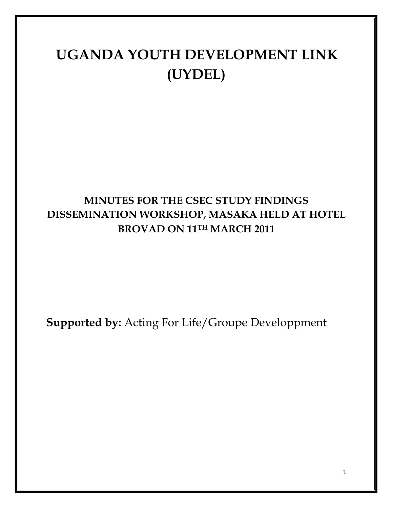# **UGANDA YOUTH DEVELOPMENT LINK (UYDEL)**

# **MINUTES FOR THE CSEC STUDY FINDINGS DISSEMINATION WORKSHOP, MASAKA HELD AT HOTEL BROVAD ON 11TH MARCH 2011**

**Supported by:** Acting For Life/Groupe Developpment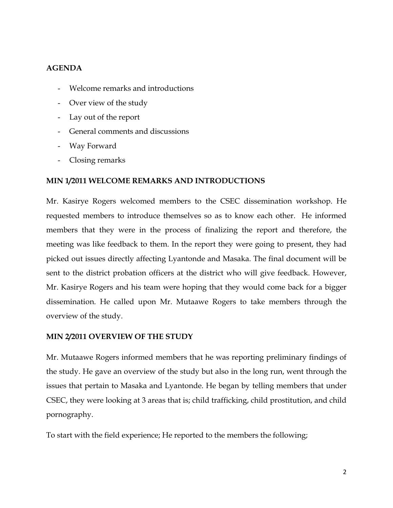#### **AGENDA**

- Welcome remarks and introductions
- Over view of the study
- Lay out of the report
- General comments and discussions
- Way Forward
- Closing remarks

#### **MIN 1/2011 WELCOME REMARKS AND INTRODUCTIONS**

Mr. Kasirye Rogers welcomed members to the CSEC dissemination workshop. He requested members to introduce themselves so as to know each other. He informed members that they were in the process of finalizing the report and therefore, the meeting was like feedback to them. In the report they were going to present, they had picked out issues directly affecting Lyantonde and Masaka. The final document will be sent to the district probation officers at the district who will give feedback. However, Mr. Kasirye Rogers and his team were hoping that they would come back for a bigger dissemination. He called upon Mr. Mutaawe Rogers to take members through the overview of the study.

#### **MIN 2/2011 OVERVIEW OF THE STUDY**

Mr. Mutaawe Rogers informed members that he was reporting preliminary findings of the study. He gave an overview of the study but also in the long run, went through the issues that pertain to Masaka and Lyantonde. He began by telling members that under CSEC, they were looking at 3 areas that is; child trafficking, child prostitution, and child pornography.

To start with the field experience; He reported to the members the following;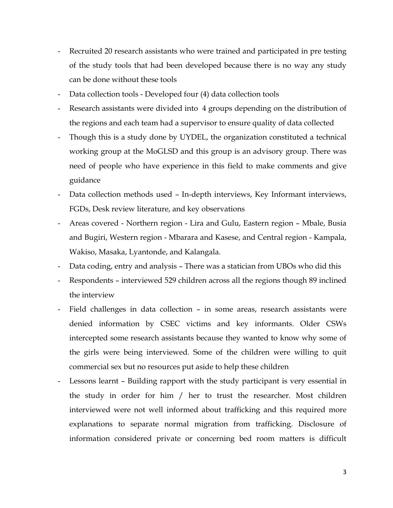- Recruited 20 research assistants who were trained and participated in pre testing of the study tools that had been developed because there is no way any study can be done without these tools
- Data collection tools Developed four (4) data collection tools
- Research assistants were divided into 4 groups depending on the distribution of the regions and each team had a supervisor to ensure quality of data collected
- Though this is a study done by UYDEL, the organization constituted a technical working group at the MoGLSD and this group is an advisory group. There was need of people who have experience in this field to make comments and give guidance
- Data collection methods used In-depth interviews, Key Informant interviews, FGDs, Desk review literature, and key observations
- Areas covered Northern region Lira and Gulu, Eastern region Mbale, Busia and Bugiri, Western region - Mbarara and Kasese, and Central region - Kampala, Wakiso, Masaka, Lyantonde, and Kalangala.
- Data coding, entry and analysis There was a statician from UBOs who did this
- Respondents interviewed 529 children across all the regions though 89 inclined the interview
- Field challenges in data collection in some areas, research assistants were denied information by CSEC victims and key informants. Older CSWs intercepted some research assistants because they wanted to know why some of the girls were being interviewed. Some of the children were willing to quit commercial sex but no resources put aside to help these children
- Lessons learnt Building rapport with the study participant is very essential in the study in order for him / her to trust the researcher. Most children interviewed were not well informed about trafficking and this required more explanations to separate normal migration from trafficking. Disclosure of information considered private or concerning bed room matters is difficult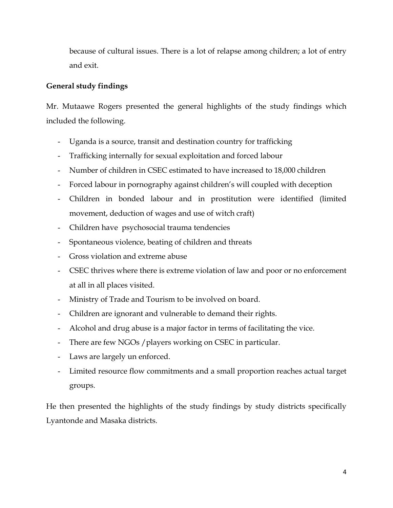because of cultural issues. There is a lot of relapse among children; a lot of entry and exit.

#### **General study findings**

Mr. Mutaawe Rogers presented the general highlights of the study findings which included the following.

- Uganda is a source, transit and destination country for trafficking
- Trafficking internally for sexual exploitation and forced labour
- Number of children in CSEC estimated to have increased to 18,000 children
- Forced labour in pornography against children's will coupled with deception
- Children in bonded labour and in prostitution were identified (limited movement, deduction of wages and use of witch craft)
- Children have psychosocial trauma tendencies
- Spontaneous violence, beating of children and threats
- Gross violation and extreme abuse
- CSEC thrives where there is extreme violation of law and poor or no enforcement at all in all places visited.
- Ministry of Trade and Tourism to be involved on board.
- Children are ignorant and vulnerable to demand their rights.
- Alcohol and drug abuse is a major factor in terms of facilitating the vice.
- There are few NGOs / players working on CSEC in particular.
- Laws are largely un enforced.
- Limited resource flow commitments and a small proportion reaches actual target groups.

He then presented the highlights of the study findings by study districts specifically Lyantonde and Masaka districts.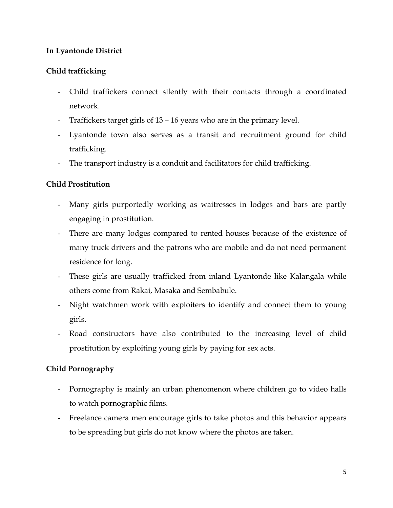# **In Lyantonde District**

# **Child trafficking**

- Child traffickers connect silently with their contacts through a coordinated network.
- Traffickers target girls of 13 16 years who are in the primary level.
- Lyantonde town also serves as a transit and recruitment ground for child trafficking.
- The transport industry is a conduit and facilitators for child trafficking.

# **Child Prostitution**

- Many girls purportedly working as waitresses in lodges and bars are partly engaging in prostitution.
- There are many lodges compared to rented houses because of the existence of many truck drivers and the patrons who are mobile and do not need permanent residence for long.
- These girls are usually trafficked from inland Lyantonde like Kalangala while others come from Rakai, Masaka and Sembabule.
- Night watchmen work with exploiters to identify and connect them to young girls.
- Road constructors have also contributed to the increasing level of child prostitution by exploiting young girls by paying for sex acts.

# **Child Pornography**

- Pornography is mainly an urban phenomenon where children go to video halls to watch pornographic films.
- Freelance camera men encourage girls to take photos and this behavior appears to be spreading but girls do not know where the photos are taken.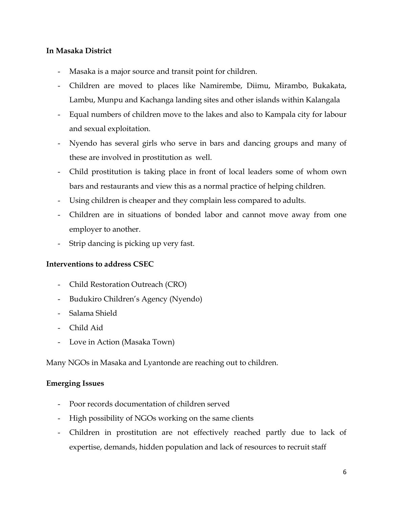# **In Masaka District**

- Masaka is a major source and transit point for children.
- Children are moved to places like Namirembe, Diimu, Mirambo, Bukakata, Lambu, Munpu and Kachanga landing sites and other islands within Kalangala
- Equal numbers of children move to the lakes and also to Kampala city for labour and sexual exploitation.
- Nyendo has several girls who serve in bars and dancing groups and many of these are involved in prostitution as well.
- Child prostitution is taking place in front of local leaders some of whom own bars and restaurants and view this as a normal practice of helping children.
- Using children is cheaper and they complain less compared to adults.
- Children are in situations of bonded labor and cannot move away from one employer to another.
- Strip dancing is picking up very fast.

#### **Interventions to address CSEC**

- Child Restoration Outreach (CRO)
- Budukiro Children's Agency (Nyendo)
- Salama Shield
- Child Aid
- Love in Action (Masaka Town)

Many NGOs in Masaka and Lyantonde are reaching out to children.

#### **Emerging Issues**

- Poor records documentation of children served
- High possibility of NGOs working on the same clients
- Children in prostitution are not effectively reached partly due to lack of expertise, demands, hidden population and lack of resources to recruit staff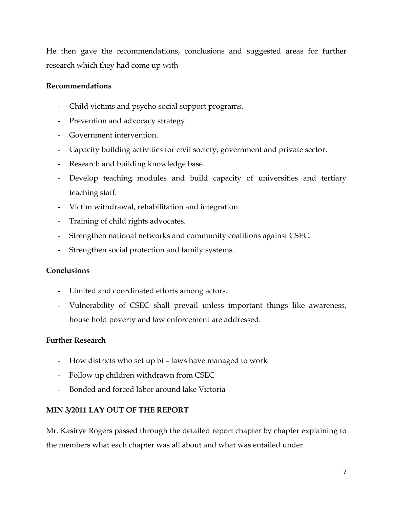He then gave the recommendations, conclusions and suggested areas for further research which they had come up with

## **Recommendations**

- Child victims and psycho social support programs.
- Prevention and advocacy strategy.
- Government intervention.
- Capacity building activities for civil society, government and private sector.
- Research and building knowledge base.
- Develop teaching modules and build capacity of universities and tertiary teaching staff.
- Victim withdrawal, rehabilitation and integration.
- Training of child rights advocates.
- Strengthen national networks and community coalitions against CSEC.
- Strengthen social protection and family systems.

# **Conclusions**

- Limited and coordinated efforts among actors.
- Vulnerability of CSEC shall prevail unless important things like awareness, house hold poverty and law enforcement are addressed.

# **Further Research**

- How districts who set up bi laws have managed to work
- Follow up children withdrawn from CSEC
- Bonded and forced labor around lake Victoria

# **MIN 3/2011 LAY OUT OF THE REPORT**

Mr. Kasirye Rogers passed through the detailed report chapter by chapter explaining to the members what each chapter was all about and what was entailed under.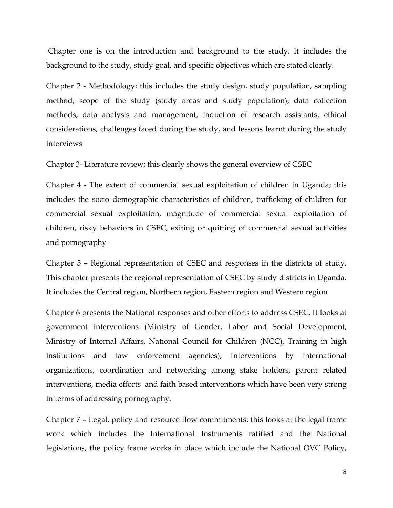Chapter one is on the introduction and background to the study. It includes the background to the study, study goal, and specific objectives which are stated clearly.

Chapter 2 - Methodology; this includes the study design, study population, sampling method, scope of the study (study areas and study population), data collection methods, data analysis and management, induction of research assistants, ethical considerations, challenges faced during the study, and lessons learnt during the study interviews

Chapter 3- Literature review; this clearly shows the general overview of CSEC

Chapter 4 - The extent of commercial sexual exploitation of children in Uganda; this includes the socio demographic characteristics of children, trafficking of children for commercial sexual exploitation, magnitude of commercial sexual exploitation of children, risky behaviors in CSEC, exiting or quitting of commercial sexual activities and pornography

Chapter 5 – Regional representation of CSEC and responses in the districts of study. This chapter presents the regional representation of CSEC by study districts in Uganda. It includes the Central region, Northern region, Eastern region and Western region

Chapter 6 presents the National responses and other efforts to address CSEC. It looks at government interventions (Ministry of Gender, Labor and Social Development, Ministry of Internal Affairs, National Council for Children (NCC), Training in high institutions and law enforcement agencies), Interventions by international organizations, coordination and networking among stake holders, parent related interventions, media efforts and faith based interventions which have been very strong in terms of addressing pornography.

Chapter 7 – Legal, policy and resource flow commitments; this looks at the legal frame work which includes the International Instruments ratified and the National legislations, the policy frame works in place which include the National OVC Policy,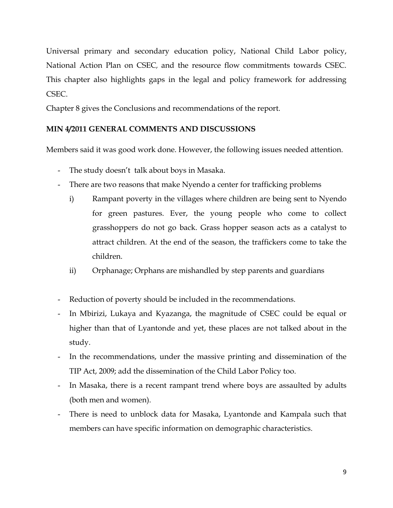Universal primary and secondary education policy, National Child Labor policy, National Action Plan on CSEC*,* and the resource flow commitments towards CSEC. This chapter also highlights gaps in the legal and policy framework for addressing CSEC.

Chapter 8 gives the Conclusions and recommendations of the report.

# **MIN 4/2011 GENERAL COMMENTS AND DISCUSSIONS**

Members said it was good work done. However, the following issues needed attention.

- The study doesn't talk about boys in Masaka.
- There are two reasons that make Nyendo a center for trafficking problems
	- i) Rampant poverty in the villages where children are being sent to Nyendo for green pastures. Ever, the young people who come to collect grasshoppers do not go back. Grass hopper season acts as a catalyst to attract children. At the end of the season, the traffickers come to take the children.
	- ii) Orphanage; Orphans are mishandled by step parents and guardians
- Reduction of poverty should be included in the recommendations.
- In Mbirizi, Lukaya and Kyazanga, the magnitude of CSEC could be equal or higher than that of Lyantonde and yet, these places are not talked about in the study.
- In the recommendations, under the massive printing and dissemination of the TIP Act, 2009; add the dissemination of the Child Labor Policy too.
- In Masaka, there is a recent rampant trend where boys are assaulted by adults (both men and women).
- There is need to unblock data for Masaka, Lyantonde and Kampala such that members can have specific information on demographic characteristics.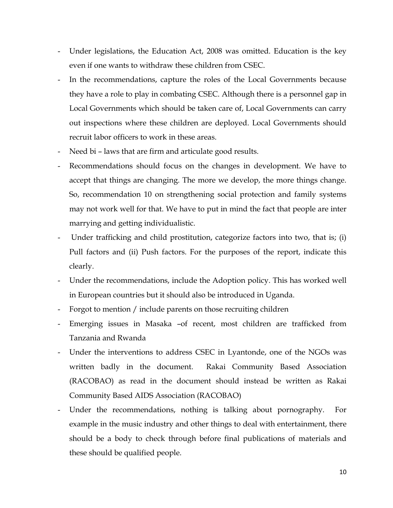- Under legislations, the Education Act, 2008 was omitted. Education is the key even if one wants to withdraw these children from CSEC.
- In the recommendations, capture the roles of the Local Governments because they have a role to play in combating CSEC. Although there is a personnel gap in Local Governments which should be taken care of, Local Governments can carry out inspections where these children are deployed. Local Governments should recruit labor officers to work in these areas.
- Need bi laws that are firm and articulate good results.
- Recommendations should focus on the changes in development. We have to accept that things are changing. The more we develop, the more things change. So, recommendation 10 on strengthening social protection and family systems may not work well for that. We have to put in mind the fact that people are inter marrying and getting individualistic.
- Under trafficking and child prostitution, categorize factors into two, that is; (i) Pull factors and (ii) Push factors. For the purposes of the report, indicate this clearly.
- Under the recommendations, include the Adoption policy. This has worked well in European countries but it should also be introduced in Uganda.
- Forgot to mention / include parents on those recruiting children
- Emerging issues in Masaka -of recent, most children are trafficked from Tanzania and Rwanda
- Under the interventions to address CSEC in Lyantonde, one of the NGOs was written badly in the document. Rakai Community Based Association (RACOBAO) as read in the document should instead be written as Rakai Community Based AIDS Association (RACOBAO)
- Under the recommendations, nothing is talking about pornography. For example in the music industry and other things to deal with entertainment, there should be a body to check through before final publications of materials and these should be qualified people.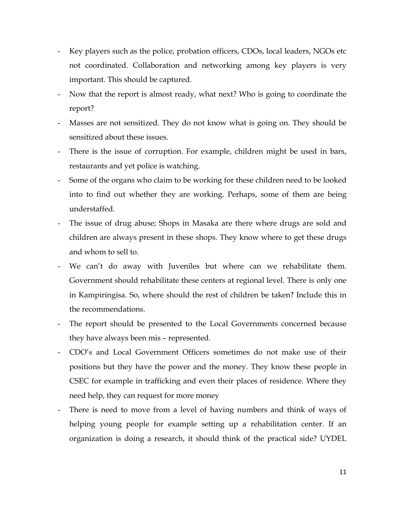- Key players such as the police, probation officers, CDOs, local leaders, NGOs etc not coordinated. Collaboration and networking among key players is very important. This should be captured.
- Now that the report is almost ready, what next? Who is going to coordinate the report?
- Masses are not sensitized. They do not know what is going on. They should be sensitized about these issues.
- There is the issue of corruption. For example, children might be used in bars, restaurants and yet police is watching.
- Some of the organs who claim to be working for these children need to be looked into to find out whether they are working. Perhaps, some of them are being understaffed.
- The issue of drug abuse; Shops in Masaka are there where drugs are sold and children are always present in these shops. They know where to get these drugs and whom to sell to.
- We can't do away with Juveniles but where can we rehabilitate them. Government should rehabilitate these centers at regional level. There is only one in Kampiringisa. So, where should the rest of children be taken? Include this in the recommendations.
- The report should be presented to the Local Governments concerned because they have always been mis – represented.
- CDO's and Local Government Officers sometimes do not make use of their positions but they have the power and the money. They know these people in CSEC for example in trafficking and even their places of residence. Where they need help, they can request for more money
- There is need to move from a level of having numbers and think of ways of helping young people for example setting up a rehabilitation center. If an organization is doing a research, it should think of the practical side? UYDEL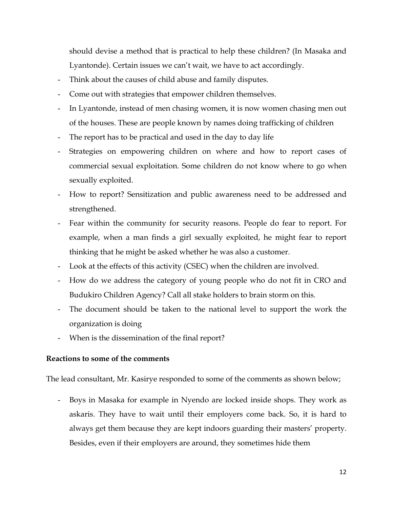should devise a method that is practical to help these children? (In Masaka and Lyantonde). Certain issues we can't wait, we have to act accordingly.

- Think about the causes of child abuse and family disputes.
- Come out with strategies that empower children themselves.
- In Lyantonde, instead of men chasing women, it is now women chasing men out of the houses. These are people known by names doing trafficking of children
- The report has to be practical and used in the day to day life
- Strategies on empowering children on where and how to report cases of commercial sexual exploitation. Some children do not know where to go when sexually exploited.
- How to report? Sensitization and public awareness need to be addressed and strengthened.
- Fear within the community for security reasons. People do fear to report. For example, when a man finds a girl sexually exploited, he might fear to report thinking that he might be asked whether he was also a customer.
- Look at the effects of this activity (CSEC) when the children are involved.
- How do we address the category of young people who do not fit in CRO and Budukiro Children Agency? Call all stake holders to brain storm on this.
- The document should be taken to the national level to support the work the organization is doing
- When is the dissemination of the final report?

#### **Reactions to some of the comments**

The lead consultant, Mr. Kasirye responded to some of the comments as shown below;

- Boys in Masaka for example in Nyendo are locked inside shops. They work as askaris. They have to wait until their employers come back. So, it is hard to always get them because they are kept indoors guarding their masters' property. Besides, even if their employers are around, they sometimes hide them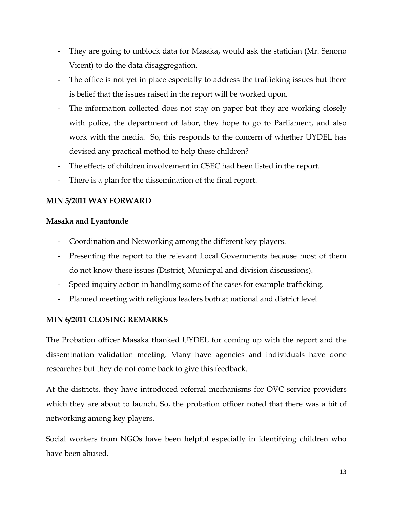- They are going to unblock data for Masaka, would ask the statician (Mr. Senono Vicent) to do the data disaggregation.
- The office is not yet in place especially to address the trafficking issues but there is belief that the issues raised in the report will be worked upon.
- The information collected does not stay on paper but they are working closely with police, the department of labor, they hope to go to Parliament, and also work with the media. So, this responds to the concern of whether UYDEL has devised any practical method to help these children?
- The effects of children involvement in CSEC had been listed in the report.
- There is a plan for the dissemination of the final report.

# **MIN 5/2011 WAY FORWARD**

#### **Masaka and Lyantonde**

- Coordination and Networking among the different key players.
- Presenting the report to the relevant Local Governments because most of them do not know these issues (District, Municipal and division discussions).
- Speed inquiry action in handling some of the cases for example trafficking.
- Planned meeting with religious leaders both at national and district level.

# **MIN 6/2011 CLOSING REMARKS**

The Probation officer Masaka thanked UYDEL for coming up with the report and the dissemination validation meeting. Many have agencies and individuals have done researches but they do not come back to give this feedback.

At the districts, they have introduced referral mechanisms for OVC service providers which they are about to launch. So, the probation officer noted that there was a bit of networking among key players.

Social workers from NGOs have been helpful especially in identifying children who have been abused.